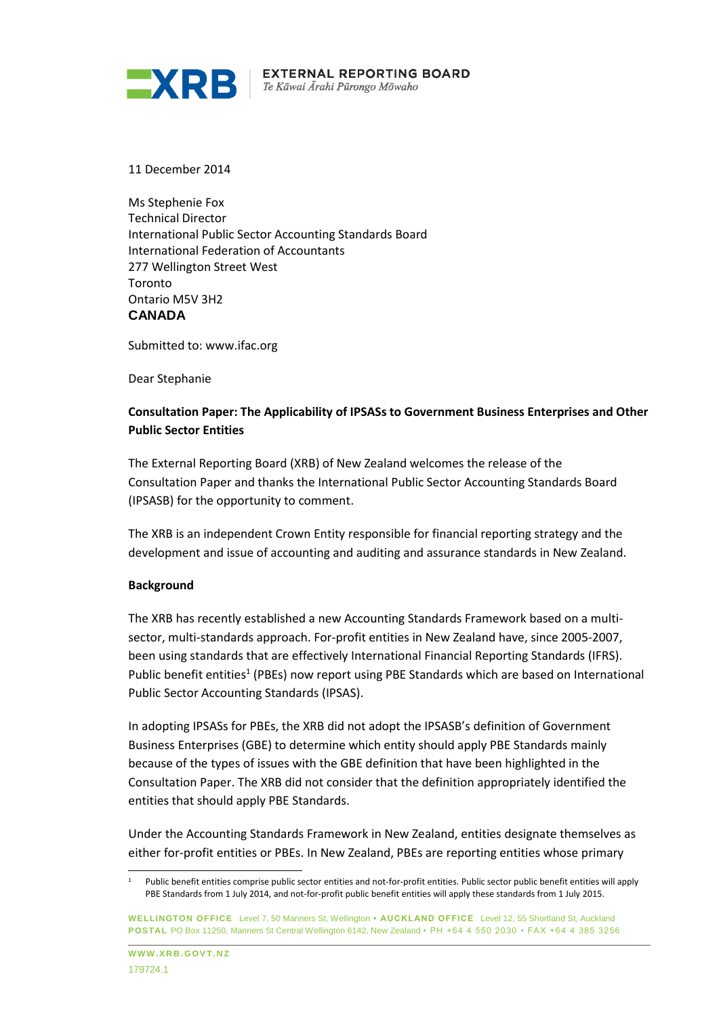

11 December 2014

Ms Stephenie Fox Technical Director International Public Sector Accounting Standards Board International Federation of Accountants 277 Wellington Street West Toronto Ontario M5V 3H2 **CANADA**

Submitted to: www.ifac.org

Dear Stephanie

# **Consultation Paper: The Applicability of IPSASs to Government Business Enterprises and Other Public Sector Entities**

The External Reporting Board (XRB) of New Zealand welcomes the release of the Consultation Paper and thanks the International Public Sector Accounting Standards Board (IPSASB) for the opportunity to comment.

The XRB is an independent Crown Entity responsible for financial reporting strategy and the development and issue of accounting and auditing and assurance standards in New Zealand.

### **Background**

The XRB has recently established a new Accounting Standards Framework based on a multisector, multi-standards approach. For-profit entities in New Zealand have, since 2005-2007, been using standards that are effectively International Financial Reporting Standards (IFRS). Public benefit entities<sup>1</sup> (PBEs) now report using PBE Standards which are based on International Public Sector Accounting Standards (IPSAS).

In adopting IPSASs for PBEs, the XRB did not adopt the IPSASB's definition of Government Business Enterprises (GBE) to determine which entity should apply PBE Standards mainly because of the types of issues with the GBE definition that have been highlighted in the Consultation Paper. The XRB did not consider that the definition appropriately identified the entities that should apply PBE Standards.

Under the Accounting Standards Framework in New Zealand, entities designate themselves as either for-profit entities or PBEs. In New Zealand, PBEs are reporting entities whose primary

l

<sup>1</sup> Public benefit entities comprise public sector entities and not-for-profit entities. Public sector public benefit entities will apply PBE Standards from 1 July 2014, and not-for-profit public benefit entities will apply these standards from 1 July 2015.

**WELLINGTON OFFICE** Level 7, 50 Manners St, Wellington **• AUCKLAND OFFICE** Level 12, 55 Shortland St, Auckland **POSTAL** PO Box 11250, Manners St Central Wellington 6142, New Zealand • PH +64 4 550 2030 • FAX +64 4 385 3256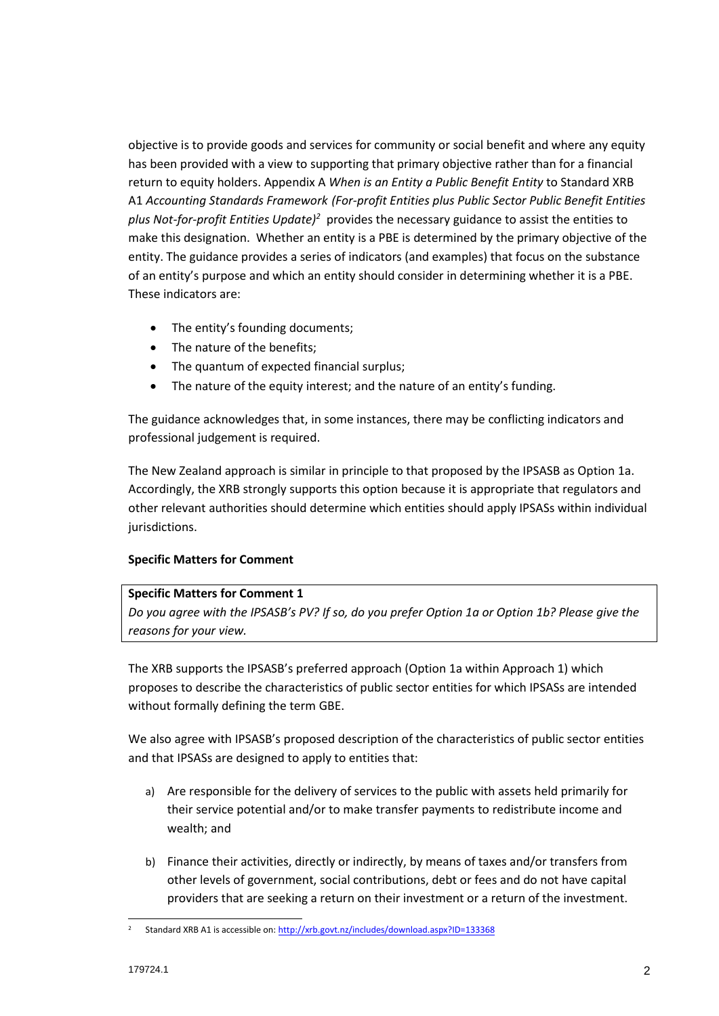objective is to provide goods and services for community or social benefit and where any equity has been provided with a view to supporting that primary objective rather than for a financial return to equity holders. Appendix A *When is an Entity a Public Benefit Entity* to Standard XRB A1 *Accounting Standards Framework (For-profit Entities plus Public Sector Public Benefit Entities plus Not-for-profit Entities Update)<sup>2</sup>* provides the necessary guidance to assist the entities to make this designation. Whether an entity is a PBE is determined by the primary objective of the entity. The guidance provides a series of indicators (and examples) that focus on the substance of an entity's purpose and which an entity should consider in determining whether it is a PBE. These indicators are:

- The entity's founding documents;
- The nature of the benefits;
- The quantum of expected financial surplus;
- The nature of the equity interest; and the nature of an entity's funding.

The guidance acknowledges that, in some instances, there may be conflicting indicators and professional judgement is required.

The New Zealand approach is similar in principle to that proposed by the IPSASB as Option 1a. Accordingly, the XRB strongly supports this option because it is appropriate that regulators and other relevant authorities should determine which entities should apply IPSASs within individual jurisdictions.

# **Specific Matters for Comment**

### **Specific Matters for Comment 1**

*Do you agree with the IPSASB's PV? If so, do you prefer Option 1a or Option 1b? Please give the reasons for your view.*

The XRB supports the IPSASB's preferred approach (Option 1a within Approach 1) which proposes to describe the characteristics of public sector entities for which IPSASs are intended without formally defining the term GBE.

We also agree with IPSASB's proposed description of the characteristics of public sector entities and that IPSASs are designed to apply to entities that:

- a) Are responsible for the delivery of services to the public with assets held primarily for their service potential and/or to make transfer payments to redistribute income and wealth; and
- b) Finance their activities, directly or indirectly, by means of taxes and/or transfers from other levels of government, social contributions, debt or fees and do not have capital providers that are seeking a return on their investment or a return of the investment.

l <sup>2</sup> Standard XRB A1 is accessible on[: http://xrb.govt.nz/includes/download.aspx?ID=133368](http://xrb.govt.nz/includes/download.aspx?ID=133368)